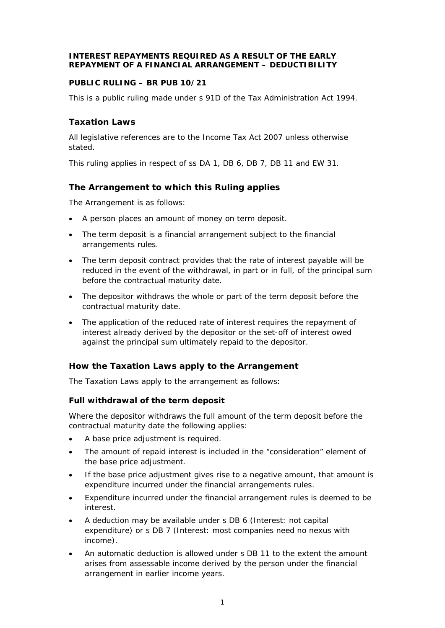## **INTEREST REPAYMENTS REQUIRED AS A RESULT OF THE EARLY REPAYMENT OF A FINANCIAL ARRANGEMENT – DEDUCTIBILITY**

# **PUBLIC RULING – BR PUB 10/21**

This is a public ruling made under s 91D of the Tax Administration Act 1994.

# **Taxation Laws**

All legislative references are to the Income Tax Act 2007 unless otherwise stated.

This ruling applies in respect of ss DA 1, DB 6, DB 7, DB 11 and EW 31.

# **The Arrangement to which this Ruling applies**

The Arrangement is as follows:

- A person places an amount of money on term deposit.
- The term deposit is a financial arrangement subject to the financial arrangements rules.
- The term deposit contract provides that the rate of interest payable will be reduced in the event of the withdrawal, in part or in full, of the principal sum before the contractual maturity date.
- The depositor withdraws the whole or part of the term deposit before the contractual maturity date.
- The application of the reduced rate of interest requires the repayment of interest already derived by the depositor or the set-off of interest owed against the principal sum ultimately repaid to the depositor.

# **How the Taxation Laws apply to the Arrangement**

The Taxation Laws apply to the arrangement as follows:

# *Full withdrawal of the term deposit*

Where the depositor withdraws the full amount of the term deposit before the contractual maturity date the following applies:

- A base price adjustment is required.
- The amount of repaid interest is included in the "consideration" element of the base price adjustment.
- If the base price adjustment gives rise to a negative amount, that amount is expenditure incurred under the financial arrangements rules.
- Expenditure incurred under the financial arrangement rules is deemed to be interest.
- A deduction may be available under s DB 6 (*Interest: not capital expenditure*) or s DB 7 (*Interest: most companies need no nexus with income*).
- An automatic deduction is allowed under s DB 11 to the extent the amount arises from assessable income derived by the person under the financial arrangement in earlier income years.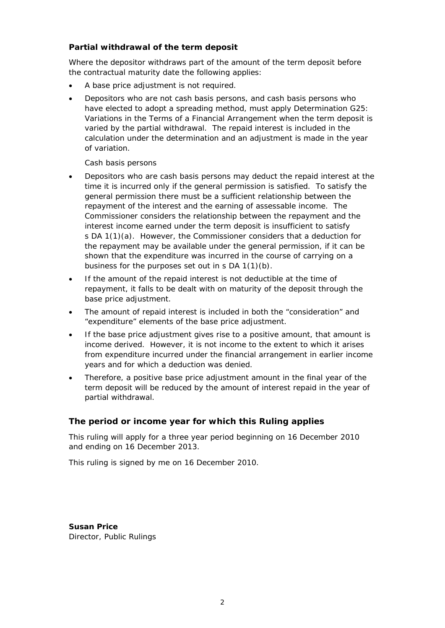# *Partial withdrawal of the term deposit*

Where the depositor withdraws part of the amount of the term deposit before the contractual maturity date the following applies:

- A base price adjustment is not required.
- Depositors who are not cash basis persons, and cash basis persons who have elected to adopt a spreading method, must apply Determination G25: *Variations in the Terms of a Financial Arrangement* when the term deposit is varied by the partial withdrawal. The repaid interest is included in the calculation under the determination and an adjustment is made in the year of variation.

## *Cash basis persons*

- Depositors who are cash basis persons may deduct the repaid interest at the time it is incurred only if the general permission is satisfied. To satisfy the general permission there must be a sufficient relationship between the repayment of the interest and the earning of assessable income. The Commissioner considers the relationship between the repayment and the interest income earned under the term deposit is insufficient to satisfy s DA 1(1)(a). However, the Commissioner considers that a deduction for the repayment may be available under the general permission, if it can be shown that the expenditure was incurred in the course of carrying on a business for the purposes set out in s DA 1(1)(b).
- If the amount of the repaid interest is not deductible at the time of repayment, it falls to be dealt with on maturity of the deposit through the base price adjustment.
- The amount of repaid interest is included in both the "consideration" and "expenditure" elements of the base price adjustment.
- If the base price adjustment gives rise to a positive amount, that amount is income derived. However, it is not income to the extent to which it arises from expenditure incurred under the financial arrangement in earlier income years and for which a deduction was denied.
- Therefore, a positive base price adjustment amount in the final year of the term deposit will be reduced by the amount of interest repaid in the year of partial withdrawal.

# **The period or income year for which this Ruling applies**

This ruling will apply for a three year period beginning on 16 December 2010 and ending on 16 December 2013.

This ruling is signed by me on 16 December 2010.

**Susan Price**  Director, Public Rulings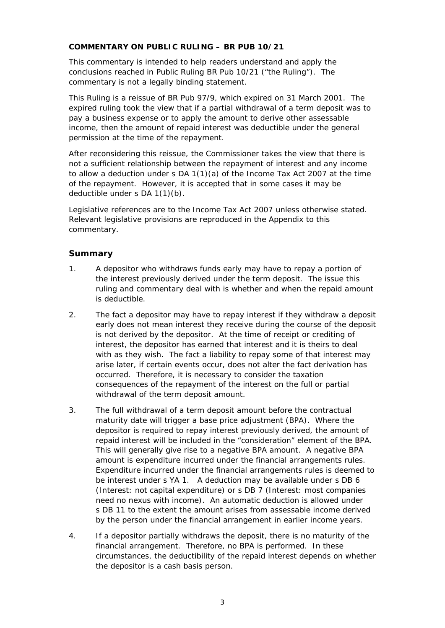## **COMMENTARY ON PUBLIC RULING – BR PUB 10/21**

This commentary is intended to help readers understand and apply the conclusions reached in Public Ruling BR Pub 10/21 ("the Ruling"). The commentary is not a legally binding statement.

This Ruling is a reissue of BR Pub 97/9, which expired on 31 March 2001. The expired ruling took the view that if a partial withdrawal of a term deposit was to pay a business expense or to apply the amount to derive other assessable income, then the amount of repaid interest was deductible under the general permission at the time of the repayment.

After reconsidering this reissue, the Commissioner takes the view that there is not a sufficient relationship between the repayment of interest and any income to allow a deduction under s DA 1(1)(a) of the Income Tax Act 2007 at the time of the repayment. However, it is accepted that in some cases it may be deductible under s DA 1(1)(b).

Legislative references are to the Income Tax Act 2007 unless otherwise stated. Relevant legislative provisions are reproduced in the Appendix to this commentary.

# **Summary**

- 1. A depositor who withdraws funds early may have to repay a portion of the interest previously derived under the term deposit. The issue this ruling and commentary deal with is whether and when the repaid amount is deductible.
- 2. The fact a depositor may have to repay interest if they withdraw a deposit early does not mean interest they receive during the course of the deposit is not derived by the depositor. At the time of receipt or crediting of interest, the depositor has earned that interest and it is theirs to deal with as they wish. The fact a liability to repay some of that interest may arise later, if certain events occur, does not alter the fact derivation has occurred. Therefore, it is necessary to consider the taxation consequences of the repayment of the interest on the full or partial withdrawal of the term deposit amount.
- 3. The full withdrawal of a term deposit amount before the contractual maturity date will trigger a base price adjustment (BPA). Where the depositor is required to repay interest previously derived, the amount of repaid interest will be included in the "consideration" element of the BPA. This will generally give rise to a negative BPA amount. A negative BPA amount is expenditure incurred under the financial arrangements rules. Expenditure incurred under the financial arrangements rules is deemed to be interest under s YA 1. A deduction may be available under s DB 6 (*Interest: not capital expenditure*) or s DB 7 (*Interest: most companies need no nexus with income*). An automatic deduction is allowed under s DB 11 to the extent the amount arises from assessable income derived by the person under the financial arrangement in earlier income years.
- 4. If a depositor partially withdraws the deposit, there is no maturity of the financial arrangement. Therefore, no BPA is performed. In these circumstances, the deductibility of the repaid interest depends on whether the depositor is a cash basis person.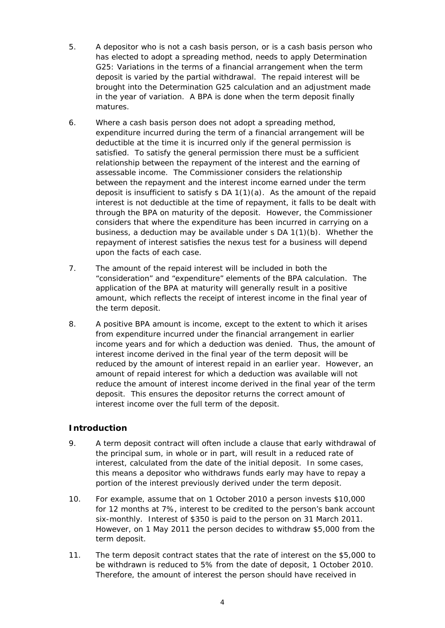- 5. A depositor who is not a cash basis person, or is a cash basis person who has elected to adopt a spreading method, needs to apply Determination G25: *Variations in the terms of a financial arrangement* when the term deposit is varied by the partial withdrawal. The repaid interest will be brought into the Determination G25 calculation and an adjustment made in the year of variation. A BPA is done when the term deposit finally matures.
- 6. Where a cash basis person does not adopt a spreading method, expenditure incurred during the term of a financial arrangement will be deductible at the time it is incurred only if the general permission is satisfied. To satisfy the general permission there must be a sufficient relationship between the repayment of the interest and the earning of assessable income. The Commissioner considers the relationship between the repayment and the interest income earned under the term deposit is insufficient to satisfy s DA  $1(1)(a)$ . As the amount of the repaid interest is not deductible at the time of repayment, it falls to be dealt with through the BPA on maturity of the deposit. However, the Commissioner considers that where the expenditure has been incurred in carrying on a business, a deduction may be available under s DA 1(1)(b). Whether the repayment of interest satisfies the nexus test for a business will depend upon the facts of each case.
- 7. The amount of the repaid interest will be included in both the "consideration" and "expenditure" elements of the BPA calculation. The application of the BPA at maturity will generally result in a positive amount, which reflects the receipt of interest income in the final year of the term deposit.
- 8. A positive BPA amount is income, except to the extent to which it arises from expenditure incurred under the financial arrangement in earlier income years and for which a deduction was denied. Thus, the amount of interest income derived in the final year of the term deposit will be reduced by the amount of interest repaid in an earlier year. However, an amount of repaid interest for which a deduction was available will not reduce the amount of interest income derived in the final year of the term deposit. This ensures the depositor returns the correct amount of interest income over the full term of the deposit.

# **Introduction**

- 9. A term deposit contract will often include a clause that early withdrawal of the principal sum, in whole or in part, will result in a reduced rate of interest, calculated from the date of the initial deposit. In some cases, this means a depositor who withdraws funds early may have to repay a portion of the interest previously derived under the term deposit.
- 10. For example, assume that on 1 October 2010 a person invests \$10,000 for 12 months at 7%, interest to be credited to the person's bank account six-monthly. Interest of \$350 is paid to the person on 31 March 2011. However, on 1 May 2011 the person decides to withdraw \$5,000 from the term deposit.
- 11. The term deposit contract states that the rate of interest on the \$5,000 to be withdrawn is reduced to 5% from the date of deposit, 1 October 2010. Therefore, the amount of interest the person should have received in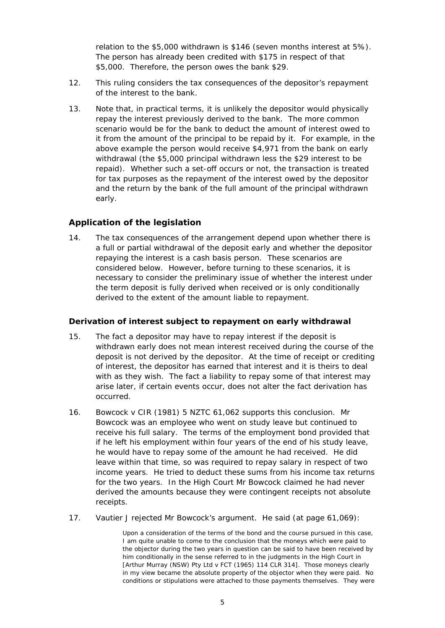relation to the \$5,000 withdrawn is \$146 (seven months interest at 5%). The person has already been credited with \$175 in respect of that \$5,000. Therefore, the person owes the bank \$29.

- 12. This ruling considers the tax consequences of the depositor's repayment of the interest to the bank.
- 13. Note that, in practical terms, it is unlikely the depositor would physically repay the interest previously derived to the bank. The more common scenario would be for the bank to deduct the amount of interest owed to it from the amount of the principal to be repaid by it. For example, in the above example the person would receive \$4,971 from the bank on early withdrawal (the \$5,000 principal withdrawn less the \$29 interest to be repaid). Whether such a set-off occurs or not, the transaction is treated for tax purposes as the repayment of the interest owed by the depositor and the return by the bank of the full amount of the principal withdrawn early.

# **Application of the legislation**

14. The tax consequences of the arrangement depend upon whether there is a full or partial withdrawal of the deposit early and whether the depositor repaying the interest is a cash basis person. These scenarios are considered below. However, before turning to these scenarios, it is necessary to consider the preliminary issue of whether the interest under the term deposit is fully derived when received or is only conditionally derived to the extent of the amount liable to repayment.

# *Derivation of interest subject to repayment on early withdrawal*

- 15. The fact a depositor may have to repay interest if the deposit is withdrawn early does not mean interest received during the course of the deposit is not derived by the depositor. At the time of receipt or crediting of interest, the depositor has earned that interest and it is theirs to deal with as they wish. The fact a liability to repay some of that interest may arise later, if certain events occur, does not alter the fact derivation has occurred.
- 16. *Bowcock v CIR* (1981) 5 NZTC 61,062 supports this conclusion. Mr Bowcock was an employee who went on study leave but continued to receive his full salary. The terms of the employment bond provided that if he left his employment within four years of the end of his study leave, he would have to repay some of the amount he had received. He did leave within that time, so was required to repay salary in respect of two income years. He tried to deduct these sums from his income tax returns for the two years. In the High Court Mr Bowcock claimed he had never derived the amounts because they were contingent receipts not absolute receipts.
- 17. Vautier J rejected Mr Bowcock's argument. He said (at page 61,069):

Upon a consideration of the terms of the bond and the course pursued in this case, I am quite unable to come to the conclusion that the moneys which were paid to the objector during the two years in question can be said to have been received by him conditionally in the sense referred to in the judgments in the High Court in [*Arthur Murray (NSW) Pty Ltd v FCT* (1965) 114 CLR 314]. Those moneys clearly in my view became the absolute property of the objector when they were paid. No conditions or stipulations were attached to those payments themselves. They were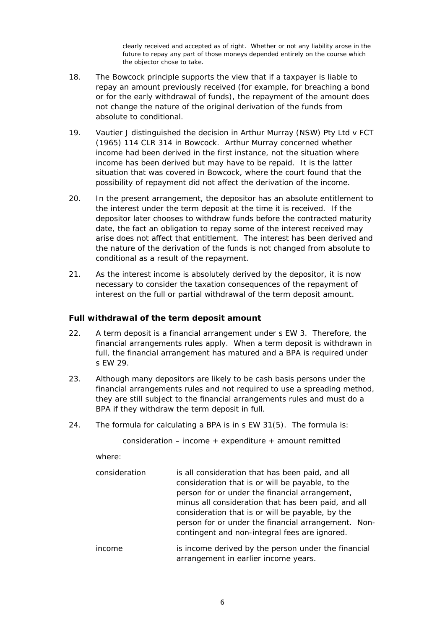clearly received and accepted as of right. Whether or not any liability arose in the future to repay any part of those moneys depended entirely on the course which the objector chose to take.

- 18. The *Bowcock* principle supports the view that if a taxpayer is liable to repay an amount previously received (for example, for breaching a bond or for the early withdrawal of funds), the repayment of the amount does not change the nature of the original derivation of the funds from absolute to conditional.
- 19. Vautier J distinguished the decision in *Arthur Murray (NSW) Pty Ltd v FCT* (1965) 114 CLR 314 in *Bowcock*. *Arthur Murray* concerned whether income had been derived in the first instance, not the situation where income has been derived but may have to be repaid. It is the latter situation that was covered in *Bowcock*, where the court found that the possibility of repayment did not affect the derivation of the income.
- 20. In the present arrangement, the depositor has an absolute entitlement to the interest under the term deposit at the time it is received. If the depositor later chooses to withdraw funds before the contracted maturity date, the fact an obligation to repay some of the interest received may arise does not affect that entitlement. The interest has been derived and the nature of the derivation of the funds is not changed from absolute to conditional as a result of the repayment.
- 21. As the interest income is absolutely derived by the depositor, it is now necessary to consider the taxation consequences of the repayment of interest on the full or partial withdrawal of the term deposit amount.

# *Full withdrawal of the term deposit amount*

- 22. A term deposit is a financial arrangement under s EW 3. Therefore, the financial arrangements rules apply. When a term deposit is withdrawn in full, the financial arrangement has matured and a BPA is required under s EW 29.
- 23. Although many depositors are likely to be cash basis persons under the financial arrangements rules and not required to use a spreading method, they are still subject to the financial arrangements rules and must do a BPA if they withdraw the term deposit in full.
- 24. The formula for calculating a BPA is in s EW 31(5). The formula is:

consideration – income  $+$  expenditure  $+$  amount remitted

where:

| consideration | is all consideration that has been paid, and all<br>consideration that is or will be payable, to the<br>person for or under the financial arrangement,                                                          |
|---------------|-----------------------------------------------------------------------------------------------------------------------------------------------------------------------------------------------------------------|
|               | minus all consideration that has been paid, and all<br>consideration that is or will be payable, by the<br>person for or under the financial arrangement. Non-<br>contingent and non-integral fees are ignored. |
| income        | is income derived by the person under the financial<br>arrangement in earlier income years.                                                                                                                     |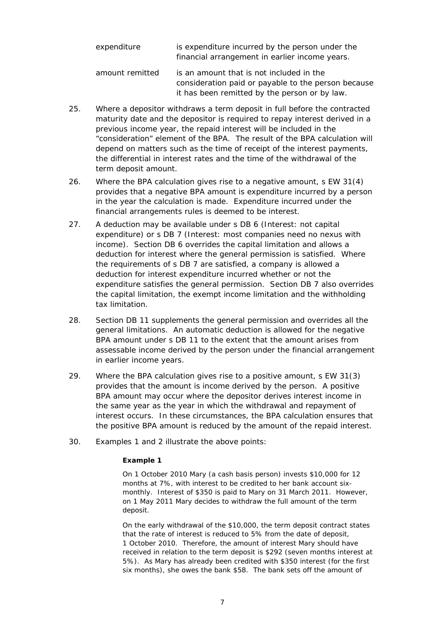| expenditure     | is expenditure incurred by the person under the<br>financial arrangement in earlier income years.                                                |
|-----------------|--------------------------------------------------------------------------------------------------------------------------------------------------|
| amount remitted | is an amount that is not included in the<br>consideration paid or payable to the person because<br>it has been remitted by the person or by law. |

- 25. Where a depositor withdraws a term deposit in full before the contracted maturity date and the depositor is required to repay interest derived in a previous income year, the repaid interest will be included in the "consideration" element of the BPA. The result of the BPA calculation will depend on matters such as the time of receipt of the interest payments, the differential in interest rates and the time of the withdrawal of the term deposit amount.
- 26. Where the BPA calculation gives rise to a negative amount, s EW 31(4) provides that a negative BPA amount is expenditure incurred by a person in the year the calculation is made. Expenditure incurred under the financial arrangements rules is deemed to be interest.
- 27. A deduction may be available under s DB 6 (*Interest: not capital expenditure*) or s DB 7 (*Interest: most companies need no nexus with income*). Section DB 6 overrides the capital limitation and allows a deduction for interest where the general permission is satisfied. Where the requirements of s DB 7 are satisfied, a company is allowed a deduction for interest expenditure incurred whether or not the expenditure satisfies the general permission. Section DB 7 also overrides the capital limitation, the exempt income limitation and the withholding tax limitation.
- 28. Section DB 11 supplements the general permission and overrides all the general limitations. An automatic deduction is allowed for the negative BPA amount under s DB 11 to the extent that the amount arises from assessable income derived by the person under the financial arrangement in earlier income years.
- 29. Where the BPA calculation gives rise to a positive amount, s EW 31(3) provides that the amount is income derived by the person. A positive BPA amount may occur where the depositor derives interest income in the same year as the year in which the withdrawal and repayment of interest occurs. In these circumstances, the BPA calculation ensures that the positive BPA amount is reduced by the amount of the repaid interest.
- 30. Examples 1 and 2 illustrate the above points:

### *Example 1*

On 1 October 2010 Mary (a cash basis person) invests \$10,000 for 12 months at 7%, with interest to be credited to her bank account sixmonthly. Interest of \$350 is paid to Mary on 31 March 2011. However, on 1 May 2011 Mary decides to withdraw the full amount of the term deposit.

On the early withdrawal of the \$10,000, the term deposit contract states that the rate of interest is reduced to 5% from the date of deposit, 1 October 2010. Therefore, the amount of interest Mary should have received in relation to the term deposit is \$292 (seven months interest at 5%). As Mary has already been credited with \$350 interest (for the first six months), she owes the bank \$58. The bank sets off the amount of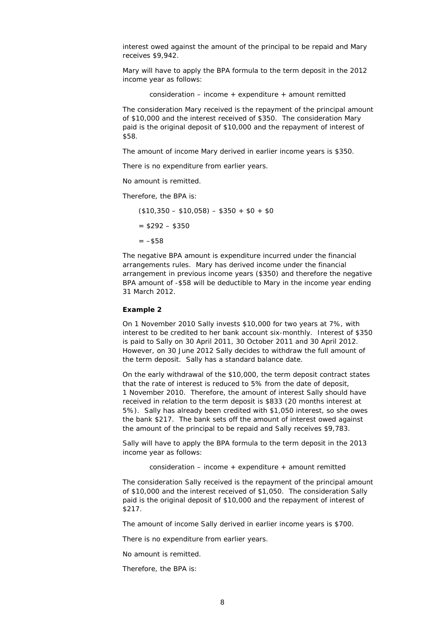interest owed against the amount of the principal to be repaid and Mary receives \$9,942.

Mary will have to apply the BPA formula to the term deposit in the 2012 income year as follows:

consideration – income  $+$  expenditure  $+$  amount remitted

The consideration Mary received is the repayment of the principal amount of \$10,000 and the interest received of \$350. The consideration Mary paid is the original deposit of \$10,000 and the repayment of interest of \$58.

The amount of income Mary derived in earlier income years is \$350.

There is no expenditure from earlier years.

No amount is remitted.

Therefore, the BPA is:

 $($10,350 - $10,058) - $350 + $0 + $0$ 

```
= $292 - $350
```

```
= -$58
```
The negative BPA amount is expenditure incurred under the financial arrangements rules. Mary has derived income under the financial arrangement in previous income years (\$350) and therefore the negative BPA amount of -\$58 will be deductible to Mary in the income year ending 31 March 2012.

### *Example 2*

On 1 November 2010 Sally invests \$10,000 for two years at 7%, with interest to be credited to her bank account six-monthly. Interest of \$350 is paid to Sally on 30 April 2011, 30 October 2011 and 30 April 2012. However, on 30 June 2012 Sally decides to withdraw the full amount of the term deposit. Sally has a standard balance date.

On the early withdrawal of the \$10,000, the term deposit contract states that the rate of interest is reduced to 5% from the date of deposit, 1 November 2010. Therefore, the amount of interest Sally should have received in relation to the term deposit is \$833 (20 months interest at 5%). Sally has already been credited with \$1,050 interest, so she owes the bank \$217. The bank sets off the amount of interest owed against the amount of the principal to be repaid and Sally receives \$9,783.

Sally will have to apply the BPA formula to the term deposit in the 2013 income year as follows:

consideration – income  $+$  expenditure  $+$  amount remitted

The consideration Sally received is the repayment of the principal amount of \$10,000 and the interest received of \$1,050. The consideration Sally paid is the original deposit of \$10,000 and the repayment of interest of \$217.

The amount of income Sally derived in earlier income years is \$700.

There is no expenditure from earlier years.

No amount is remitted.

Therefore, the BPA is: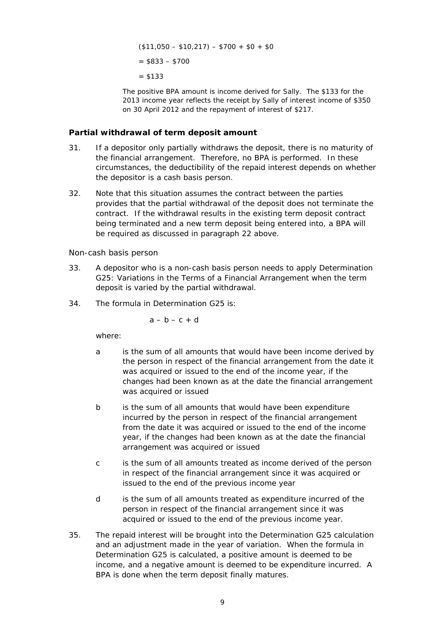$($11,050 - $10,217) - $700 + $0 + $0$ 

 $= $833 - $700$ 

 $-$  \$133

The positive BPA amount is income derived for Sally. The \$133 for the 2013 income year reflects the receipt by Sally of interest income of \$350 on 30 April 2012 and the repayment of interest of \$217.

## *Partial withdrawal of term deposit amount*

- 31. If a depositor only partially withdraws the deposit, there is no maturity of the financial arrangement. Therefore, no BPA is performed. In these circumstances, the deductibility of the repaid interest depends on whether the depositor is a cash basis person.
- 32. Note that this situation assumes the contract between the parties provides that the partial withdrawal of the deposit does not terminate the contract. If the withdrawal results in the existing term deposit contract being terminated and a new term deposit being entered into, a BPA will be required as discussed in paragraph 22 above.

## *Non-cash basis person*

- 33. A depositor who is a non-cash basis person needs to apply Determination G25*: Variations in the Terms of a Financial Arrangement* when the term deposit is varied by the partial withdrawal.
- 34. The formula in Determination G25 is:

$$
a-b-c+d
$$

where:

- a is the sum of all amounts that would have been income derived by the person in respect of the financial arrangement from the date it was acquired or issued to the end of the income year, if the changes had been known as at the date the financial arrangement was acquired or issued
- b is the sum of all amounts that would have been expenditure incurred by the person in respect of the financial arrangement from the date it was acquired or issued to the end of the income year, if the changes had been known as at the date the financial arrangement was acquired or issued
- c is the sum of all amounts treated as income derived of the person in respect of the financial arrangement since it was acquired or issued to the end of the previous income year
- d is the sum of all amounts treated as expenditure incurred of the person in respect of the financial arrangement since it was acquired or issued to the end of the previous income year.
- 35. The repaid interest will be brought into the Determination G25 calculation and an adjustment made in the year of variation. When the formula in Determination G25 is calculated, a positive amount is deemed to be income, and a negative amount is deemed to be expenditure incurred. A BPA is done when the term deposit finally matures.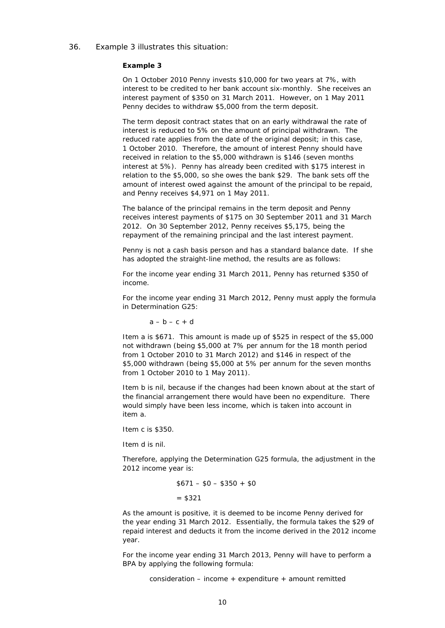### 36. Example 3 illustrates this situation:

#### *Example 3*

On 1 October 2010 Penny invests \$10,000 for two years at 7%, with interest to be credited to her bank account six-monthly. She receives an interest payment of \$350 on 31 March 2011. However, on 1 May 2011 Penny decides to withdraw \$5,000 from the term deposit.

The term deposit contract states that on an early withdrawal the rate of interest is reduced to 5% on the amount of principal withdrawn. The reduced rate applies from the date of the original deposit; in this case, 1 October 2010. Therefore, the amount of interest Penny should have received in relation to the \$5,000 withdrawn is \$146 (seven months interest at 5%). Penny has already been credited with \$175 interest in relation to the \$5,000, so she owes the bank \$29. The bank sets off the amount of interest owed against the amount of the principal to be repaid, and Penny receives \$4,971 on 1 May 2011.

The balance of the principal remains in the term deposit and Penny receives interest payments of \$175 on 30 September 2011 and 31 March 2012. On 30 September 2012, Penny receives \$5,175, being the repayment of the remaining principal and the last interest payment.

Penny is not a cash basis person and has a standard balance date. If she has adopted the straight-line method, the results are as follows:

For the income year ending 31 March 2011, Penny has returned \$350 of income.

For the income year ending 31 March 2012, Penny must apply the formula in Determination G25:

 $a - b - c + d$ 

Item a is \$671. This amount is made up of \$525 in respect of the \$5,000 not withdrawn (being \$5,000 at 7% per annum for the 18 month period from 1 October 2010 to 31 March 2012) and \$146 in respect of the \$5,000 withdrawn (being \$5,000 at 5% per annum for the seven months from 1 October 2010 to 1 May 2011).

Item b is nil, because if the changes had been known about at the start of the financial arrangement there would have been no expenditure. There would simply have been less income, which is taken into account in item a.

Item c is \$350.

Item d is nil.

Therefore, applying the Determination G25 formula, the adjustment in the 2012 income year is:

```
$671 - $0 - $350 + $0= $321
```
As the amount is positive, it is deemed to be income Penny derived for the year ending 31 March 2012. Essentially, the formula takes the \$29 of repaid interest and deducts it from the income derived in the 2012 income year.

For the income year ending 31 March 2013, Penny will have to perform a BPA by applying the following formula:

consideration – income + expenditure + amount remitted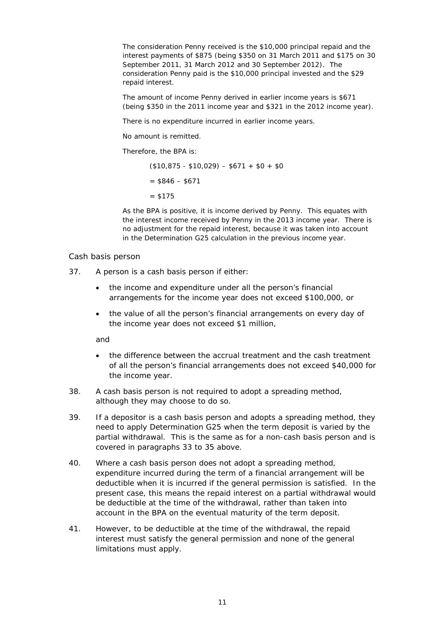The consideration Penny received is the \$10,000 principal repaid and the interest payments of \$875 (being \$350 on 31 March 2011 and \$175 on 30 September 2011, 31 March 2012 and 30 September 2012). The consideration Penny paid is the \$10,000 principal invested and the \$29 repaid interest.

The amount of income Penny derived in earlier income years is \$671 (being \$350 in the 2011 income year and \$321 in the 2012 income year).

There is no expenditure incurred in earlier income years.

No amount is remitted.

Therefore, the BPA is:

 $($10,875 - $10,029) - $671 + $0 + $0$  $=$  \$846 – \$671  $= $175$ 

As the BPA is positive, it is income derived by Penny. This equates with the interest income received by Penny in the 2013 income year. There is no adjustment for the repaid interest, because it was taken into account in the Determination G25 calculation in the previous income year.

### *Cash basis person*

- 37. A person is a cash basis person if either:
	- the income and expenditure under all the person's financial arrangements for the income year does not exceed \$100,000, or
	- the value of all the person's financial arrangements on every day of the income year does not exceed \$1 million,

and

- the difference between the accrual treatment and the cash treatment of all the person's financial arrangements does not exceed \$40,000 for the income year.
- 38. A cash basis person is not required to adopt a spreading method, although they may choose to do so.
- 39. If a depositor is a cash basis person and adopts a spreading method, they need to apply Determination G25 when the term deposit is varied by the partial withdrawal. This is the same as for a non-cash basis person and is covered in paragraphs 33 to 35 above.
- 40. Where a cash basis person does not adopt a spreading method, expenditure incurred during the term of a financial arrangement will be deductible when it is incurred if the general permission is satisfied. In the present case, this means the repaid interest on a partial withdrawal would be deductible at the time of the withdrawal, rather than taken into account in the BPA on the eventual maturity of the term deposit.
- 41. However, to be deductible at the time of the withdrawal, the repaid interest must satisfy the general permission and none of the general limitations must apply.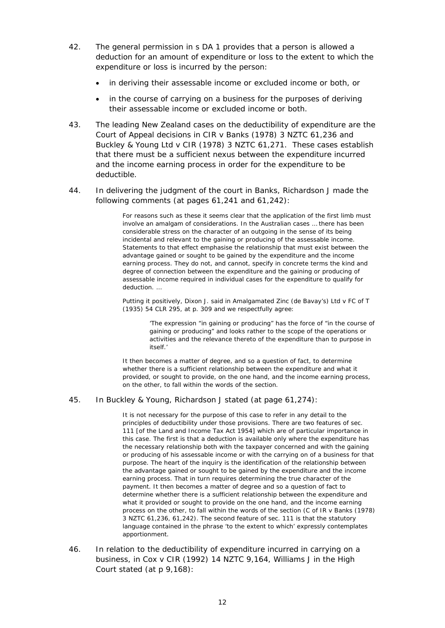- 42. The general permission in s DA 1 provides that a person is allowed a deduction for an amount of expenditure or loss to the extent to which the expenditure or loss is incurred by the person:
	- in deriving their assessable income or excluded income or both, or
	- in the course of carrying on a business for the purposes of deriving their assessable income or excluded income or both.
- 43. The leading New Zealand cases on the deductibility of expenditure are the Court of Appeal decisions in *CIR v Banks* (1978) 3 NZTC 61,236 and *Buckley & Young Ltd v CIR* (1978) 3 NZTC 61,271. These cases establish that there must be a sufficient nexus between the expenditure incurred and the income earning process in order for the expenditure to be deductible.
- 44. In delivering the judgment of the court in *Banks*, Richardson J made the following comments (at pages 61,241 and 61,242):

For reasons such as these it seems clear that the application of the first limb must involve an amalgam of considerations. In the Australian cases … there has been considerable stress on the character of an outgoing in the sense of its being incidental and relevant to the gaining or producing of the assessable income. Statements to that effect emphasise the relationship that must exist between the advantage gained or sought to be gained by the expenditure and the income earning process. They do not, and cannot, specify in concrete terms the kind and degree of connection between the expenditure and the gaining or producing of assessable income required in individual cases for the expenditure to qualify for deduction. …

Putting it positively, Dixon J. said in *Amalgamated Zinc (de Bavay's) Ltd* v *FC of T* (1935) 54 CLR 295, at p. 309 and we respectfully agree:

> 'The expression "in gaining or producing" has the force of "in the course of gaining or producing" and looks rather to the scope of the operations or activities and the relevance thereto of the expenditure than to purpose in itself.'

It then becomes a matter of degree, and so a question of fact, to determine whether there is a sufficient relationship between the expenditure and what it provided, or sought to provide, on the one hand, and the income earning process, on the other, to fall within the words of the section.

### 45. In *Buckley & Young*, Richardson J stated (at page 61,274):

It is not necessary for the purpose of this case to refer in any detail to the principles of deductibility under those provisions. There are two features of sec. 111 [of the *Land and Income Tax Act 1954*] which are of particular importance in this case. The first is that a deduction is available only where the expenditure has the necessary relationship both with the taxpayer concerned and with the gaining or producing of his assessable income or with the carrying on of a business for that purpose. The heart of the inquiry is the identification of the relationship between the advantage gained or sought to be gained by the expenditure and the income earning process. That in turn requires determining the true character of the payment. It then becomes a matter of degree and so a question of fact to determine whether there is a sufficient relationship between the expenditure and what it provided or sought to provide on the one hand, and the income earning process on the other, to fall within the words of the section (*C of IR* v *Banks* (1978) 3 NZTC 61,236, 61,242). The second feature of sec. 111 is that the statutory language contained in the phrase 'to the extent to which' expressly contemplates apportionment.

46. In relation to the deductibility of expenditure incurred in carrying on a business, in *Cox v CIR* (1992) 14 NZTC 9,164, Williams J in the High Court stated (at p 9,168):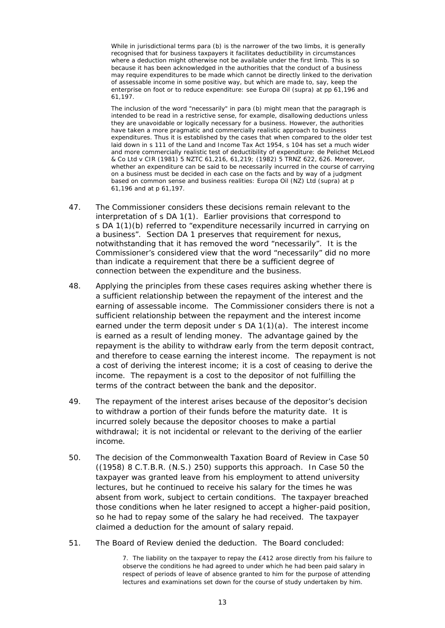While in jurisdictional terms para (b) is the narrower of the two limbs, it is generally recognised that for business taxpayers it facilitates deductibility in circumstances where a deduction might otherwise not be available under the first limb. This is so because it has been acknowledged in the authorities that the conduct of a business may require expenditures to be made which cannot be directly linked to the derivation of assessable income in some positive way, but which are made to, say, keep the enterprise on foot or to reduce expenditure: see *Europa Oil* (supra) at pp 61,196 and 61,197.

The inclusion of the word "necessarily" in para (b) might mean that the paragraph is intended to be read in a restrictive sense, for example, disallowing deductions unless they are unavoidable or logically necessary for a business. However, the authorities have taken a more pragmatic and commercially realistic approach to business expenditures. Thus it is established by the cases that when compared to the older test laid down in s 111 of the Land and Income Tax Act 1954, s 104 has set a much wider and more commercially realistic test of deductibility of expenditure: *de Pelichet McLeod & Co Ltd v CIR* (1981) 5 NZTC 61,216, 61,219; (1982) 5 TRNZ 622, 626. Moreover, whether an expenditure can be said to be necessarily incurred in the course of carrying on a business must be decided in each case on the facts and by way of a judgment based on common sense and business realities: *Europa Oil (NZ) Ltd* (supra) at p 61,196 and at p 61,197.

- 47. The Commissioner considers these decisions remain relevant to the interpretation of s DA 1(1). Earlier provisions that correspond to s DA 1(1)(b) referred to "expenditure necessarily incurred in carrying on a business". Section DA 1 preserves that requirement for nexus, notwithstanding that it has removed the word "necessarily". It is the Commissioner's considered view that the word "necessarily" did no more than indicate a requirement that there be a sufficient degree of connection between the expenditure and the business.
- 48. Applying the principles from these cases requires asking whether there is a sufficient relationship between the repayment of the interest and the earning of assessable income. The Commissioner considers there is not a sufficient relationship between the repayment and the interest income earned under the term deposit under s DA 1(1)(a). The interest income is earned as a result of lending money. The advantage gained by the repayment is the ability to withdraw early from the term deposit contract, and therefore to cease earning the interest income. The repayment is not a cost of deriving the interest income; it is a cost of ceasing to derive the income. The repayment is a cost to the depositor of not fulfilling the terms of the contract between the bank and the depositor.
- 49. The repayment of the interest arises because of the depositor's decision to withdraw a portion of their funds before the maturity date. It is incurred solely because the depositor chooses to make a partial withdrawal; it is not incidental or relevant to the deriving of the earlier income.
- 50. The decision of the Commonwealth Taxation Board of Review in *Case 50* ((1958) 8 C.T.B.R. (N.S.) 250) supports this approach. In *Case 50* the taxpayer was granted leave from his employment to attend university lectures, but he continued to receive his salary for the times he was absent from work, subject to certain conditions. The taxpayer breached those conditions when he later resigned to accept a higher-paid position, so he had to repay some of the salary he had received. The taxpayer claimed a deduction for the amount of salary repaid.
- 51. The Board of Review denied the deduction. The Board concluded:

7. The liability on the taxpayer to repay the £412 arose directly from his failure to observe the conditions he had agreed to under which he had been paid salary in respect of periods of leave of absence granted to him for the purpose of attending lectures and examinations set down for the course of study undertaken by him.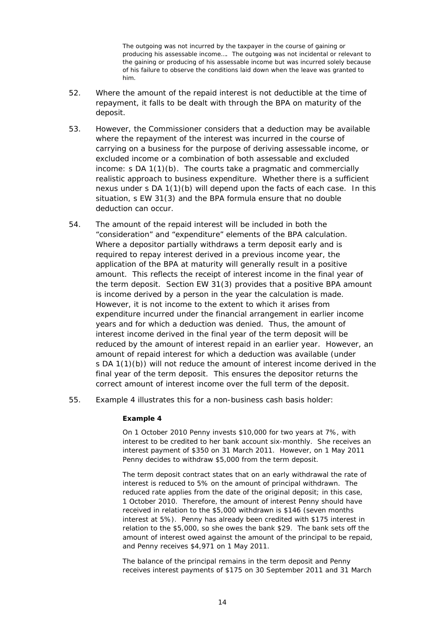The outgoing was not incurred by the taxpayer in the course of gaining or producing his assessable income…. The outgoing was not incidental or relevant to the gaining or producing of his assessable income but was incurred solely because of his failure to observe the conditions laid down when the leave was granted to him.

- 52. Where the amount of the repaid interest is not deductible at the time of repayment, it falls to be dealt with through the BPA on maturity of the deposit.
- 53. However, the Commissioner considers that a deduction may be available where the repayment of the interest was incurred in the course of carrying on a business for the purpose of deriving assessable income, or excluded income or a combination of both assessable and excluded income: s DA 1(1)(b). The courts take a pragmatic and commercially realistic approach to business expenditure. Whether there is a sufficient nexus under s DA 1(1)(b) will depend upon the facts of each case. In this situation, s EW 31(3) and the BPA formula ensure that no double deduction can occur.
- 54. The amount of the repaid interest will be included in both the "consideration" and "expenditure" elements of the BPA calculation. Where a depositor partially withdraws a term deposit early and is required to repay interest derived in a previous income year, the application of the BPA at maturity will generally result in a positive amount. This reflects the receipt of interest income in the final year of the term deposit. Section EW 31(3) provides that a positive BPA amount is income derived by a person in the year the calculation is made. However, it is not income to the extent to which it arises from expenditure incurred under the financial arrangement in earlier income years and for which a deduction was denied. Thus, the amount of interest income derived in the final year of the term deposit will be reduced by the amount of interest repaid in an earlier year. However, an amount of repaid interest for which a deduction was available (under s DA 1(1)(b)) will not reduce the amount of interest income derived in the final year of the term deposit. This ensures the depositor returns the correct amount of interest income over the full term of the deposit.
- 55. Example 4 illustrates this for a non-business cash basis holder:

### *Example 4*

On 1 October 2010 Penny invests \$10,000 for two years at 7%, with interest to be credited to her bank account six-monthly. She receives an interest payment of \$350 on 31 March 2011. However, on 1 May 2011 Penny decides to withdraw \$5,000 from the term deposit.

The term deposit contract states that on an early withdrawal the rate of interest is reduced to 5% on the amount of principal withdrawn. The reduced rate applies from the date of the original deposit; in this case, 1 October 2010. Therefore, the amount of interest Penny should have received in relation to the \$5,000 withdrawn is \$146 (seven months interest at 5%). Penny has already been credited with \$175 interest in relation to the \$5,000, so she owes the bank \$29. The bank sets off the amount of interest owed against the amount of the principal to be repaid, and Penny receives \$4,971 on 1 May 2011.

The balance of the principal remains in the term deposit and Penny receives interest payments of \$175 on 30 September 2011 and 31 March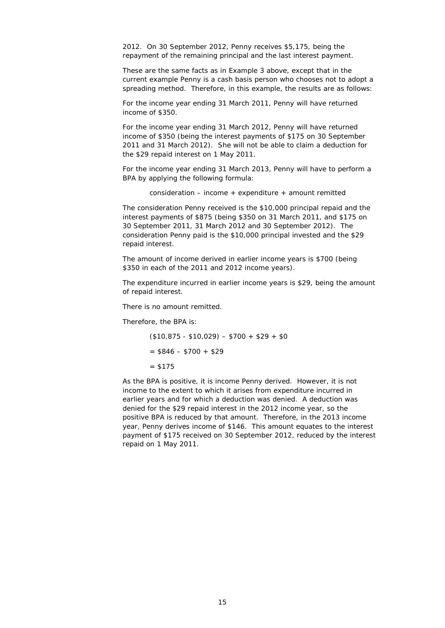2012. On 30 September 2012, Penny receives \$5,175, being the repayment of the remaining principal and the last interest payment.

These are the same facts as in Example 3 above, except that in the current example Penny is a cash basis person who chooses not to adopt a spreading method. Therefore, in this example, the results are as follows:

For the income year ending 31 March 2011, Penny will have returned income of \$350.

For the income year ending 31 March 2012, Penny will have returned income of \$350 (being the interest payments of \$175 on 30 September 2011 and 31 March 2012). She will not be able to claim a deduction for the \$29 repaid interest on 1 May 2011.

For the income year ending 31 March 2013, Penny will have to perform a BPA by applying the following formula:

consideration – income  $+$  expenditure  $+$  amount remitted

The consideration Penny received is the \$10,000 principal repaid and the interest payments of \$875 (being \$350 on 31 March 2011, and \$175 on 30 September 2011, 31 March 2012 and 30 September 2012). The consideration Penny paid is the \$10,000 principal invested and the \$29 repaid interest.

The amount of income derived in earlier income years is \$700 (being \$350 in each of the 2011 and 2012 income years).

The expenditure incurred in earlier income years is \$29, being the amount of repaid interest.

There is no amount remitted.

Therefore, the BPA is:

 $($10,875 - $10,029) - $700 + $29 + $0$  $=$  \$846 – \$700 + \$29  $= $175$ 

As the BPA is positive, it is income Penny derived. However, it is not income to the extent to which it arises from expenditure incurred in earlier years and for which a deduction was denied. A deduction was denied for the \$29 repaid interest in the 2012 income year, so the positive BPA is reduced by that amount. Therefore, in the 2013 income year, Penny derives income of \$146. This amount equates to the interest payment of \$175 received on 30 September 2012, reduced by the interest repaid on 1 May 2011.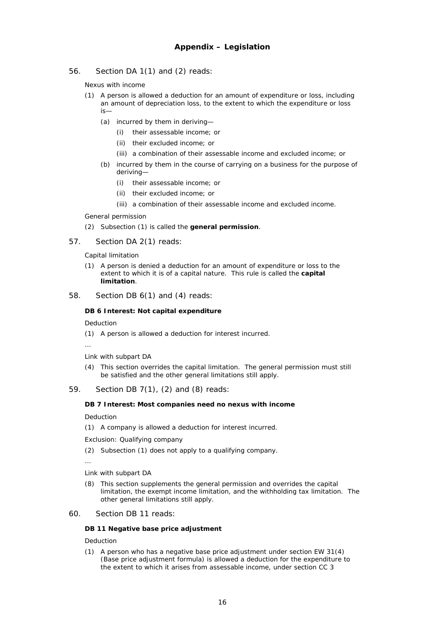56. Section DA 1(1) and (2) reads:

*Nexus with income* 

- (1) A person is allowed a deduction for an amount of expenditure or loss, including an amount of depreciation loss, to the extent to which the expenditure or loss is—
	- (a) incurred by them in deriving—
		- (i) their assessable income; or
		- (ii) their excluded income; or
		- (iii) a combination of their assessable income and excluded income; or
	- (b) incurred by them in the course of carrying on a business for the purpose of deriving—
		- (i) their assessable income; or
		- (ii) their excluded income; or
		- (iii) a combination of their assessable income and excluded income.

### *General permission*

- (2) Subsection (1) is called the **general permission**.
- 57. Section DA 2(1) reads:

#### *Capital limitation*

- (1) A person is denied a deduction for an amount of expenditure or loss to the extent to which it is of a capital nature. This rule is called the **capital limitation**.
- 58. Section DB 6(1) and (4) reads:

### **DB 6 Interest: Not capital expenditure**

### *Deduction*

(1) A person is allowed a deduction for interest incurred.

…

#### *Link with subpart DA*

(4) This section overrides the capital limitation. The general permission must still be satisfied and the other general limitations still apply.

### 59. Section DB 7(1), (2) and (8) reads:

### **DB 7 Interest: Most companies need no nexus with income**

*Deduction* 

(1) A company is allowed a deduction for interest incurred.

*Exclusion: Qualifying company* 

(2) Subsection (1) does not apply to a qualifying company.

…

#### *Link with subpart DA*

(8) This section supplements the general permission and overrides the capital limitation, the exempt income limitation, and the withholding tax limitation. The other general limitations still apply.

#### 60. Section DB 11 reads:

#### **DB 11 Negative base price adjustment**

### *Deduction*

(1) A person who has a negative base price adjustment under section EW 31(4) (Base price adjustment formula) is allowed a deduction for the expenditure to the extent to which it arises from assessable income, under section CC 3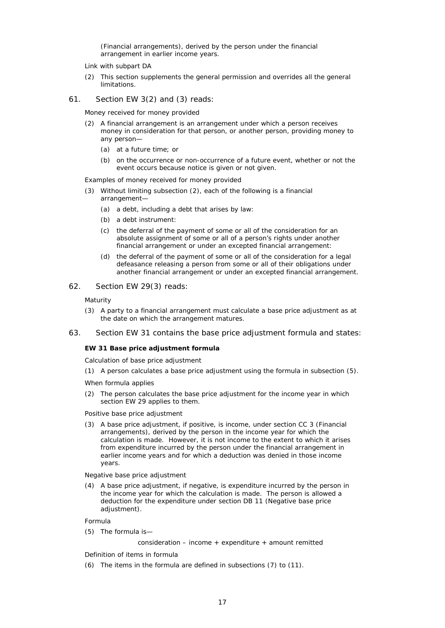(Financial arrangements), derived by the person under the financial arrangement in earlier income years.

- *Link with subpart DA*
- (2) This section supplements the general permission and overrides all the general limitations.
- 61. Section EW 3(2) and (3) reads:

*Money received for money provided* 

- (2) A financial arrangement is an arrangement under which a person receives money in consideration for that person, or another person, providing money to any person—
	- (a) at a future time; or
	- (b) on the occurrence or non-occurrence of a future event, whether or not the event occurs because notice is given or not given.

*Examples of money received for money provided* 

- (3) Without limiting subsection (2), each of the following is a financial arrangement—
	- (a) a debt, including a debt that arises by law:
	- (b) a debt instrument:
	- (c) the deferral of the payment of some or all of the consideration for an absolute assignment of some or all of a person's rights under another financial arrangement or under an excepted financial arrangement:
	- (d) the deferral of the payment of some or all of the consideration for a legal defeasance releasing a person from some or all of their obligations under another financial arrangement or under an excepted financial arrangement.
- 62. Section EW 29(3) reads:

*Maturity* 

- (3) A party to a financial arrangement must calculate a base price adjustment as at the date on which the arrangement matures.
- 63. Section EW 31 contains the base price adjustment formula and states:

#### **EW 31 Base price adjustment formula**

*Calculation of base price adjustment* 

(1) A person calculates a base price adjustment using the formula in subsection (5).

*When formula applies* 

(2) The person calculates the base price adjustment for the income year in which section EW 29 applies to them.

*Positive base price adjustment* 

(3) A base price adjustment, if positive, is income, under section CC 3 (Financial arrangements), derived by the person in the income year for which the calculation is made. However, it is not income to the extent to which it arises from expenditure incurred by the person under the financial arrangement in earlier income years and for which a deduction was denied in those income years.

*Negative base price adjustment* 

(4) A base price adjustment, if negative, is expenditure incurred by the person in the income year for which the calculation is made. The person is allowed a deduction for the expenditure under section DB 11 (Negative base price adiustment).

*Formula* 

(5) The formula is—

consideration – income + expenditure + amount remitted

*Definition of items in formula* 

(6) The items in the formula are defined in subsections (7) to (11).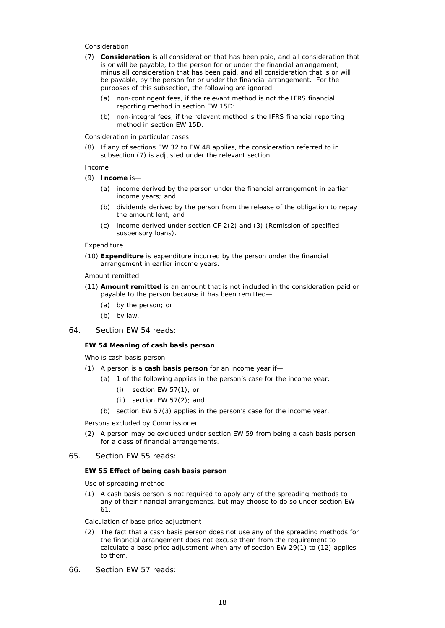#### *Consideration*

- (7) **Consideration** is all consideration that has been paid, and all consideration that is or will be payable, to the person for or under the financial arrangement, minus all consideration that has been paid, and all consideration that is or will be payable, by the person for or under the financial arrangement. For the purposes of this subsection, the following are ignored:
	- (a) non-contingent fees, if the relevant method is not the IFRS financial reporting method in section EW 15D:
	- (b) non-integral fees, if the relevant method is the IFRS financial reporting method in section EW 15D.

*Consideration in particular cases* 

(8) If any of sections EW 32 to EW 48 applies, the consideration referred to in subsection (7) is adjusted under the relevant section.

#### *Income*

- (9) **Income** is—
	- (a) income derived by the person under the financial arrangement in earlier income years; and
	- (b) dividends derived by the person from the release of the obligation to repay the amount lent; and
	- (c) income derived under section CF 2(2) and (3) (Remission of specified suspensory loans).

#### *Expenditure*

(10) **Expenditure** is expenditure incurred by the person under the financial arrangement in earlier income years.

#### *Amount remitted*

- (11) **Amount remitted** is an amount that is not included in the consideration paid or payable to the person because it has been remitted—
	- (a) by the person; or
	- (b) by law.
- 64. Section EW 54 reads:

#### **EW 54 Meaning of cash basis person**

*Who is cash basis person* 

- (1) A person is a *cash basis person* for an income year if—
	- (a) 1 of the following applies in the person's case for the income year:
		- (i) section EW 57(1); or
		- (ii) section EW 57(2); and
		- (b) section EW 57(3) applies in the person's case for the income year.

*Persons excluded by Commissioner* 

(2) A person may be excluded under section EW 59 from being a cash basis person for a class of financial arrangements.

### 65. Section EW 55 reads:

### **EW 55 Effect of being cash basis person**

*Use of spreading method* 

(1) A cash basis person is not required to apply any of the spreading methods to any of their financial arrangements, but may choose to do so under section EW 61.

#### *Calculation of base price adjustment*

- (2) The fact that a cash basis person does not use any of the spreading methods for the financial arrangement does not excuse them from the requirement to calculate a base price adjustment when any of section EW 29(1) to (12) applies to them.
- 66. Section EW 57 reads: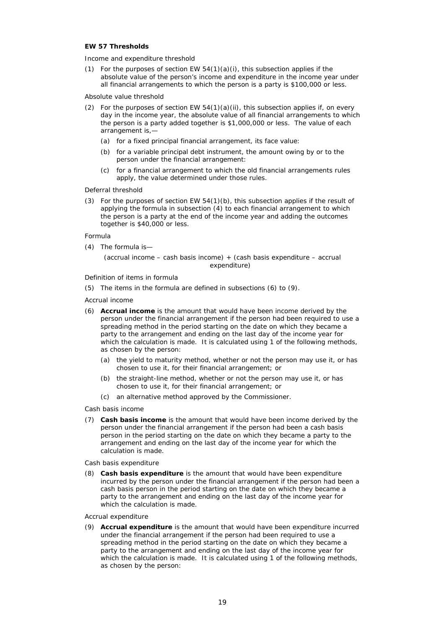### **EW 57 Thresholds**

*Income and expenditure threshold* 

(1) For the purposes of section EW  $54(1)(a)(i)$ , this subsection applies if the absolute value of the person's income and expenditure in the income year under all financial arrangements to which the person is a party is \$100,000 or less.

#### *Absolute value threshold*

- (2) For the purposes of section EW  $54(1)(a)(ii)$ , this subsection applies if, on every day in the income year, the absolute value of all financial arrangements to which the person is a party added together is \$1,000,000 or less. The value of each arrangement is,—
	- (a) for a fixed principal financial arrangement, its face value:
	- (b) for a variable principal debt instrument, the amount owing by or to the person under the financial arrangement:
	- (c) for a financial arrangement to which the old financial arrangements rules apply, the value determined under those rules.

#### *Deferral threshold*

(3) For the purposes of section EW 54(1)(b), this subsection applies if the result of applying the formula in subsection (4) to each financial arrangement to which the person is a party at the end of the income year and adding the outcomes together is \$40,000 or less.

#### *Formula*

(4) The formula is—

#### (accrual income – cash basis income) + (cash basis expenditure – accrual expenditure)

### *Definition of items in formula*

(5) The items in the formula are defined in subsections (6) to (9).

#### *Accrual income*

- (6) **Accrual income** is the amount that would have been income derived by the person under the financial arrangement if the person had been required to use a spreading method in the period starting on the date on which they became a party to the arrangement and ending on the last day of the income year for which the calculation is made. It is calculated using 1 of the following methods, as chosen by the person:
	- (a) the yield to maturity method, whether or not the person may use it, or has chosen to use it, for their financial arrangement; or
	- (b) the straight-line method, whether or not the person may use it, or has chosen to use it, for their financial arrangement; or
	- (c) an alternative method approved by the Commissioner.

#### *Cash basis income*

(7) **Cash basis income** is the amount that would have been income derived by the person under the financial arrangement if the person had been a cash basis person in the period starting on the date on which they became a party to the arrangement and ending on the last day of the income year for which the calculation is made.

*Cash basis expenditure* 

(8) **Cash basis expenditure** is the amount that would have been expenditure incurred by the person under the financial arrangement if the person had been a cash basis person in the period starting on the date on which they became a party to the arrangement and ending on the last day of the income year for which the calculation is made.

#### *Accrual expenditure*

(9) **Accrual expenditure** is the amount that would have been expenditure incurred under the financial arrangement if the person had been required to use a spreading method in the period starting on the date on which they became a party to the arrangement and ending on the last day of the income year for which the calculation is made. It is calculated using 1 of the following methods, as chosen by the person: